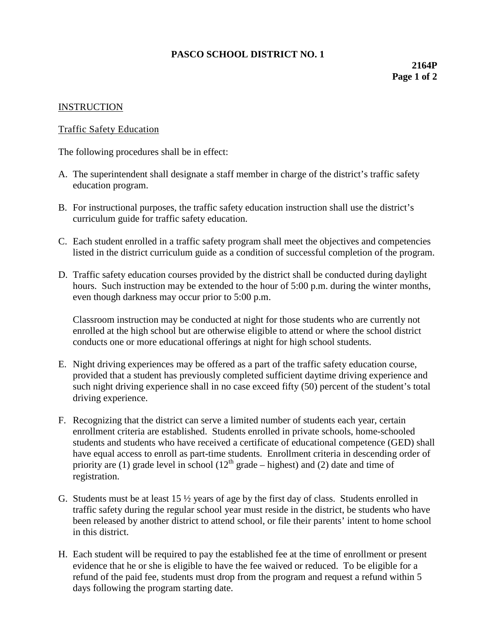## **PASCO SCHOOL DISTRICT NO. 1**

**2164P Page 1 of 2**

## **INSTRUCTION**

## Traffic Safety Education

The following procedures shall be in effect:

- A. The superintendent shall designate a staff member in charge of the district's traffic safety education program.
- B. For instructional purposes, the traffic safety education instruction shall use the district's curriculum guide for traffic safety education.
- C. Each student enrolled in a traffic safety program shall meet the objectives and competencies listed in the district curriculum guide as a condition of successful completion of the program.
- D. Traffic safety education courses provided by the district shall be conducted during daylight hours. Such instruction may be extended to the hour of 5:00 p.m. during the winter months, even though darkness may occur prior to 5:00 p.m.

Classroom instruction may be conducted at night for those students who are currently not enrolled at the high school but are otherwise eligible to attend or where the school district conducts one or more educational offerings at night for high school students.

- E. Night driving experiences may be offered as a part of the traffic safety education course, provided that a student has previously completed sufficient daytime driving experience and such night driving experience shall in no case exceed fifty (50) percent of the student's total driving experience.
- F. Recognizing that the district can serve a limited number of students each year, certain enrollment criteria are established. Students enrolled in private schools, home-schooled students and students who have received a certificate of educational competence (GED) shall have equal access to enroll as part-time students. Enrollment criteria in descending order of priority are (1) grade level in school ( $12<sup>th</sup>$  grade – highest) and (2) date and time of registration.
- G. Students must be at least  $15 \frac{1}{2}$  years of age by the first day of class. Students enrolled in traffic safety during the regular school year must reside in the district, be students who have been released by another district to attend school, or file their parents' intent to home school in this district.
- H. Each student will be required to pay the established fee at the time of enrollment or present evidence that he or she is eligible to have the fee waived or reduced. To be eligible for a refund of the paid fee, students must drop from the program and request a refund within 5 days following the program starting date.